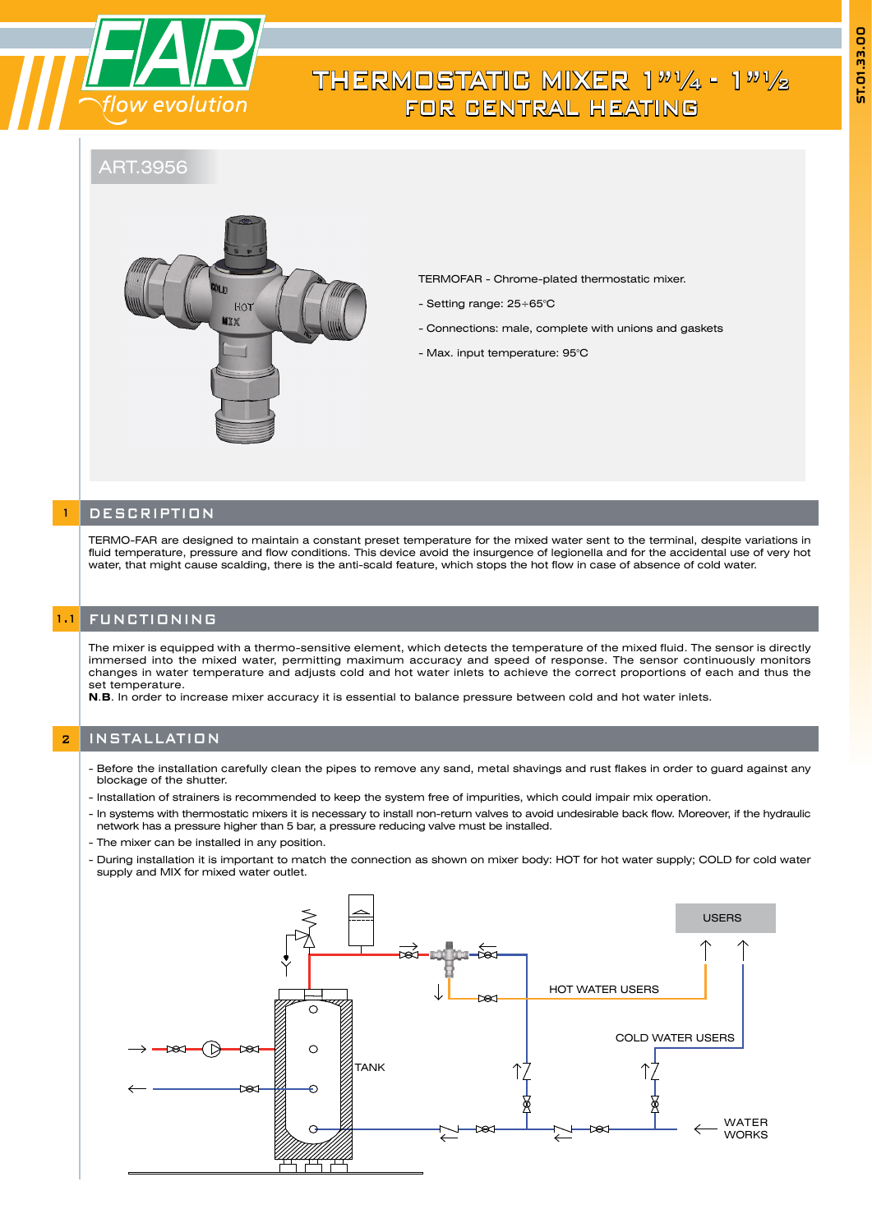

# THERMOSTATIC MIXER  $1''''/_4$  -  $1''''/_2$ FOR CENTRAL HEATING

ART.3956



TERMOFAR - Chrome-plated thermostatic mixer.

- Setting range: 25÷65°C
- Connections: male, complete with unions and gaskets
- Max. input temperature: 95°C

## **DESCRIPTION**

TERMO-FAR are designed to maintain a constant preset temperature for the mixed water sent to the terminal, despite variations in fluid temperature, pressure and flow conditions. This device avoid the insurgence of legionella and for the accidental use of very hot water, that might cause scalding, there is the anti-scald feature, which stops the hot flow in case of absence of cold water.

### 1.1 FUNCTIONING

The mixer is equipped with a thermo-sensitive element, which detects the temperature of the mixed fluid. The sensor is directly immersed into the mixed water, permitting maximum accuracy and speed of response. The sensor continuously monitors changes in water temperature and adjusts cold and hot water inlets to achieve the correct proportions of each and thus the set temperature.

**N**.**B**. In order to increase mixer accuracy it is essential to balance pressure between cold and hot water inlets.

# **2** INSTALLATION

- Before the installation carefully clean the pipes to remove any sand, metal shavings and rust flakes in order to guard against any blockage of the shutter.

- Installation of strainers is recommended to keep the system free of impurities, which could impair mix operation.
- In systems with thermostatic mixers it is necessary to install non-return valves to avoid undesirable back flow. Moreover, if the hydraulic network has a pressure higher than 5 bar, a pressure reducing valve must be installed.
- The mixer can be installed in any position. -
- During installation it is important to match the connection as shown on mixer body: HOT for hot water supply; COLD for cold water supply and MIX for mixed water outlet.